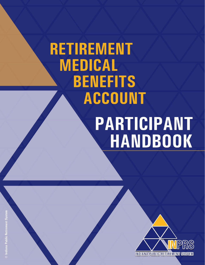## **RETIREMENT MEDICAL BENEFITS ACCOUNT PARTICIPANT HANDBOOK**

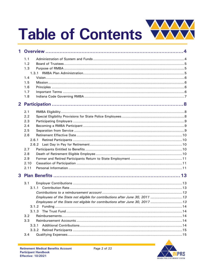

# Table of Contents WX

|              | 1.1   |                                                                               |  |  |  |
|--------------|-------|-------------------------------------------------------------------------------|--|--|--|
|              | 1.2   |                                                                               |  |  |  |
|              | 1.3   |                                                                               |  |  |  |
|              | 1.3.1 |                                                                               |  |  |  |
|              | 1.4   |                                                                               |  |  |  |
|              | 1.5   |                                                                               |  |  |  |
|              | 1.6   |                                                                               |  |  |  |
|              | 1.7   |                                                                               |  |  |  |
|              | 1.8   |                                                                               |  |  |  |
| $\mathbf{2}$ |       |                                                                               |  |  |  |
|              | 2.1   |                                                                               |  |  |  |
|              | 2.2   |                                                                               |  |  |  |
|              | 2.3   |                                                                               |  |  |  |
|              | 2.4   |                                                                               |  |  |  |
|              | 2.5   |                                                                               |  |  |  |
|              | 2.6   |                                                                               |  |  |  |
|              | 2.6.1 |                                                                               |  |  |  |
|              | 2.6.2 |                                                                               |  |  |  |
|              | 2.7   |                                                                               |  |  |  |
|              | 2.8   |                                                                               |  |  |  |
|              | 2.9   |                                                                               |  |  |  |
|              | 2.10  |                                                                               |  |  |  |
|              | 2.11  |                                                                               |  |  |  |
| 3            |       |                                                                               |  |  |  |
|              | 3.1   |                                                                               |  |  |  |
|              | 3.1.1 |                                                                               |  |  |  |
|              |       |                                                                               |  |  |  |
|              |       | Employees of the State not eligible for contributions after June 30, 2011  13 |  |  |  |
|              |       | Employees of the State not eligible for contributions after June 30, 2017  13 |  |  |  |
|              | 3.1.2 |                                                                               |  |  |  |
|              | 3.1.3 |                                                                               |  |  |  |
|              | 3.2   |                                                                               |  |  |  |
|              | 3.3   |                                                                               |  |  |  |
|              | 3.3.1 |                                                                               |  |  |  |
|              | 3.3.2 |                                                                               |  |  |  |
|              | 3.4   |                                                                               |  |  |  |

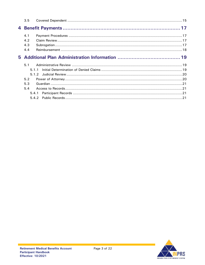|  | 3.5            |  |  |
|--|----------------|--|--|
|  |                |  |  |
|  | 4.1            |  |  |
|  | 4.2            |  |  |
|  | 4.3            |  |  |
|  | 4.4            |  |  |
|  |                |  |  |
|  | 5 <sub>1</sub> |  |  |
|  | 511            |  |  |
|  |                |  |  |
|  | 5.2            |  |  |
|  | 5.3            |  |  |
|  | 5.4            |  |  |
|  | 5.4.1          |  |  |
|  |                |  |  |

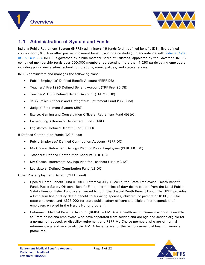<span id="page-3-0"></span>



## <span id="page-3-1"></span>**1.1 Administration of System and Funds**

Indiana Public Retirement System (INPRS) administers 16 funds (eight defined benefit (DB), five defined contribution (DC), two other post-employment benefit, and one custodial). In accordance with [Indiana Code](http://iga.in.gov/legislative/laws/2021/ic/titles/005/#5-10.5)  [\(IC\) 5-10.5-2-3,](http://iga.in.gov/legislative/laws/2021/ic/titles/005/#5-10.5) INPRS is governed by a nine-member Board of Trustees, appointed by the Governor. INPRS combined membership totals over 500,000 members representing more than 1,250 participating employers including public universities, school corporations, municipalities, and state agencies.

INPRS administers and manages the following plans:

- Public Employeesˈ Defined Benefit Account (PERF DB)
- Teachers' Pre-1996 Defined Benefit Account (TRF Pre-'96 DB)
- Teachers' 1996 Defined Benefit Account (TRF '96 DB)
- 1977 Police Officers' and Firefighters' Retirement Fund ('77 Fund)
- Judges' Retirement System (JRS)
- Excise, Gaming and Conservation Officers' Retirement Fund (EG&C)
- Prosecuting Attorney's Retirement Fund (PARF)
- Legislators' Defined Benefit Fund (LE DB)

5 Defined Contribution Funds (DC Funds)

- Public Employees' Defined Contribution Account (PERF DC)
- My Choice: Retirement Savings Plan for Public Employees (PERF MC DC)
- Teachers' Defined Contribution Account (TRF DC)
- My Choice: Retirement Savings Plan for Teachers (TRF MC DC)
- Legislators' Defined Contribution Fund (LE DC)

Other Postemployment Benefit (OPEB Fund)

- Special Death Benefit Fund (SDBF) Effective July 1, 2017, the State Employeesˈ Death Benefit Fund, Public Safety Officers' Benefit Fund, and the line of duty death benefit from the Local Public Safety Pension Relief Fund were merged to form the Special Death Benefit Fund. The SDBF provides a lump sum line of duty death benefit to surviving spouses, children, or parents of \$100,000 for state employees and \$225,000 for state public safety officers and eligible first responders of employers enrolled in the Hero's Honor program.
- Retirement Medical Benefits Account (RMBA) RMBA is a health reimbursement account available to State of Indiana employees who have separated from service and are age and service eligible for a normal, unreduced, or disability retirement and PERF My Choice members who are of normal retirement age and service eligible. RMBA benefits are for the reimbursement of health insurance premiums.

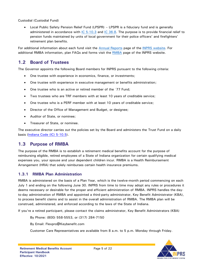Custodial (Custodial Fund)

• Local Public Safety Pension Relief Fund (LPSPR) – LPSPR is a fiduciary fund and is generally administered in accordance with [IC 5-10.3](http://iga.in.gov/legislative/laws/2021/ic/titles/005/#5-10.3) and [IC 36-8.](http://iga.in.gov/legislative/laws/2021/ic/titles/036/#36-8) The purpose is to provide financial relief to pension funds maintained by units of local government for their police officers' and firefighters' retirement plan benefits.

For additional information about each fund visit the [Annual Reports](https://www.in.gov/inprs/annualreports.htm) page of the [INPRS website.](https://www.in.gov/inprs) For additional RMBA information, plan FAQs and forms visit the [RMBA](https://www.in.gov/inprs/my-fund/state-of-indiana-retirement-medical-benefits-account-plan/) page of the INPRS website.

## <span id="page-4-0"></span>**1.2 Board of Trustees**

The Governor appoints the following Board members for INPRS pursuant to the following criteria:

- One trustee with experience in economics, finance, or investments;
- One trustee with experience in executive management or benefits administration;
- One trustee who is an active or retired member of the ˈ77 Fund;
- Two trustees who are TRF members with at least 10 years of creditable service;
- One trustee who is a PERF member with at least 10 years of creditable service;
- Director of the Office of Management and Budget, or designee;
- Auditor of State, or nominee;
- Treasurer of State, or nominee.

The executive director carries out the policies set by the Board and administers the Trust Fund on a daily basis [\(Indiana Code \(IC\) 5-10.5\)](http://iga.in.gov/legislative/laws/2021/ic/titles/005/#5-10.5).

## <span id="page-4-1"></span>**1.3 Purpose of RMBA**

The purpose of the RMBA is to establish a retirement medical benefits account for the purpose of reimbursing eligible, retired employees of a State of Indiana organization for certain qualifying medical expenses you, your spouse and your dependent children incur. RMBA is a Health Reimbursement Arrangement (HRA) that solely reimburses certain health insurance premiums.

#### <span id="page-4-2"></span>**1.3.1 RMBA Plan Administration**

RMBA is administered on the basis of a Plan Year, which is the twelve-month period commencing on each July 1 and ending on the following June 30. INPRS from time to time may adopt any rules or procedures it deems necessary or desirable for the proper and efficient administration of RMBA. INPRS handles the dayto-day administration of RMBA and appointed a third-party administrator, Key Benefit Administrator (KBA), to process benefit claims and to assist in the overall administration of RMBA. The RMBA plan will be construed, administered, and enforced according to the laws of the State of Indiana.

If you're a retired participant, please contact the claims administrator, Key Benefit Administrators (KBA)

By Phone: (800) 558-5553, or (317) 284-7150

By Email: Flexpro@Keybenefit.com

Customer Care Representatives are available from 8 a.m. to 5 p.m. Monday through Friday.

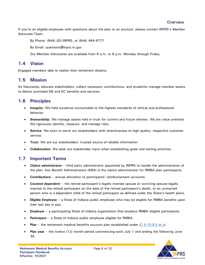If you're an eligible employee with questions about the plan or an account, please contact INPRS's Member Advocate Team.

By Phone: (844) GO-INPRS, or (844) 464-6777

By Email: questions@inprs.in.gov

Our Member Advocates are available from 8 a.m. to 8 p.m. Monday through Friday.

## <span id="page-5-0"></span>**1.4 Vision**

Engaged members able to realize their retirement dreams.

## <span id="page-5-1"></span>**1.5 Mission**

As fiduciaries, educate stakeholders, collect necessary contributions, and prudently manage member assets to deliver promised DB and DC benefits and services.

## <span id="page-5-2"></span>**1.6 Principles**

- **Integrity**: We hold ourselves accountable to the highest standards of ethical and professional behavior.
- **Stewardship**: We manage assets held in trust for current and future retirees. We are value oriented. We rigorously identify, measure, and manage risks.
- **Service**: We exist to serve our stakeholders with attentiveness to high quality, respectful customer service.
- **Trust:** We are our stakeholders' trusted source of reliable information.
- **Collaboration**: We seek out stakeholder input when establishing goals and setting priorities.

## **1.7 Important Terms**

- <span id="page-5-3"></span>• **Claims administrator** – third party administrator appointed by INPRS to handle the administration of the plan. Key Benefit Administrators (KBA) is the claims administrator for RMBA plan participants.
- **Contributions** annual allocation to participants' reimbursement accounts.
- **Covered dependent** the retired participant's legally married spouse or surviving spouse legally married to the retired participant on the date of the retired participant's death, or an unmarried person who is a dependent child of the retired participant as defined under the State's health plans.
- **Eligible Employee** a State of Indiana public employee who may be eligible for RMBA benefits upon their last day in pay.
- **Employer** a participating State of Indiana organization that employs RMBA eligible participants.
- **Participant** a State of Indiana public employee eligible for RMBA.
- **Plan** the retirement medical benefits account plan established under [IC 5-10-8.5](http://iga.in.gov/legislative/laws/2021/ic/titles/005/#5-10-8.5) et al.
- **Plan year**  the twelve (12) month period commencing each July 1 and ending the following June 30.

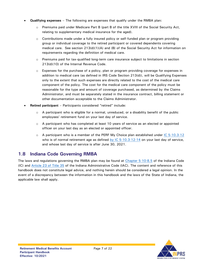- **Qualifying expenses** The following are expenses that qualify under the RMBA plan:
	- o Premiums paid under Medicare Part B (part B of the title XVIII of the Social Security Act, relating to supplementary medical insurance for the aged).
	- o Contributions made under a fully insured policy or self-funded plan or program providing group or individual coverage to the retired participant or covered dependents covering medical care. See section 213(d)(1)(A) and (B) of the Social Security Act for information on requirements regarding the definition of medical care.
	- o Premiums paid for tax-qualified long-term care insurance subject to limitations in section 213(d)(10) of the Internal Revenue Code.
	- $\circ$  Expenses for the purchase of a policy, plan or program providing coverage for expenses in addition to medical care (as defined in IRS Code Section 213(d)), will be Qualifying Expenses only to the extent that such expenses are directly related to the cost of the medical care component of the policy. The cost for the medical care component of the policy must be reasonable for the type and amount of coverage purchased, as determined by the Claims Administrator, and must be separately stated in the insurance contract, billing statement or other documentation acceptable to the Claims Administrator.
- **Retired participant** Participants considered "retired" include:
	- $\circ$  A participant who is eligible for a normal, unreduced, or a disability benefit of the public employees' retirement fund on your last day of service.
	- $\circ$  A participant who has completed at least 10 years of service as an elected or appointed officer on your last day as an elected or appointed officer.
	- o A participant who is a member of the PERF My Choice plan established under [IC 5-10.3-12](http://iga.in.gov/legislative/laws/2021/ic/titles/005/#5-10.3-12) who is of normal retirement age as defined [by IC 5-10.3-12-14](http://iga.in.gov/legislative/laws/2021/ic/titles/005/#5-10.3-12-14) on your last day of service, and whose last day of service is after June 30, 2021.

## <span id="page-6-0"></span>**1.8 Indiana Code Governing RMBA**

The laws and regulations governing the RMBA plan may be found at [Chapter 5-10-8.5](http://iga.in.gov/legislative/laws/2021/ic/titles/005/#5-10-8.5) of the Indiana Code (IC) and Article [23 of Title 35](https://www.in.gov/inprs/files/RMBARecoupmentAdmin-Rules_INRegister.pdf) of the Indiana Administrative Code (IAC). The content and reference of this handbook does not constitute legal advice, and nothing herein should be considered a legal opinion. In the event of a discrepancy between the information in this handbook and the laws of the State of Indiana, the applicable law shall apply.

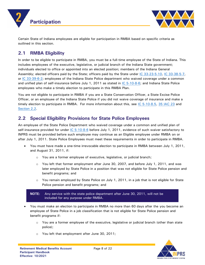<span id="page-7-0"></span>



Certain State of Indiana employees are eligible for participation in RMBA based on specific criteria as outlined in this section.

## <span id="page-7-1"></span>**2.1 RMBA Eligibility**

In order to be eligible to participate in RMBA, you must be a full-time employee of the State of Indiana. This includes employees of the executive, legislative, or judicial branch of the Indiana State government; individuals elected to office or appointed into an elected position; members of the Indiana General Assembly; elected officers paid by the State; officers paid by the State under [IC 33-23-5-10,](http://iga.in.gov/legislative/laws/2021/ic/titles/033/#33-23-5-10) [IC 33-38-5-7,](http://iga.in.gov/legislative/laws/2021/ic/titles/033/#33-38-5-7) or [IC 33-39-6-2;](http://iga.in.gov/legislative/laws/2021/ic/titles/033/#33-39-6-2) employees of the Indiana State Police department who waived coverage under a common and unified plan of self-insurance before July 1, 2011 as stated in [IC 5-10-8-6;](http://iga.in.gov/legislative/laws/2021/ic/titles/005/#5-10-8-6) and Indiana State Police employees who make a timely election to participate in this RMBA Plan.

You are not eligible to participate in RMBA if you are a State Conservation Officer, a State Excise Police Officer, or an employee of the Indiana State Police if you did not waive coverage of insurance and make a timely election to participate in RMBA. For more information about this, see [IC 5-10-8.5,](http://iga.in.gov/legislative/laws/2021/ic/titles/005/#5-10-8.5) [35 IAC 23](https://www.in.gov/inprs/files/RMBARecoupmentAdmin-Rules_INRegister.pdf) and [Section 2.2.](#page-7-2)

## <span id="page-7-2"></span>**2.2 Special Eligibility Provisions for State Police Employees**

An employee of the State Police Department who waived coverage under a common and unified plan of self-insurance provided for under [IC 5-10-8-6](http://iga.in.gov/legislative/laws/2021/ic/titles/005/#5-10-8-6) before July 1, 2011, evidence of such waiver satisfactory to INPRS must be provided before such employee may continue as an Eligible employee under RMBA on or after July 1, 2011. State Police Employees must meet these requirements in order to participate in RMBA.

- You must have made a one-time irrevocable election to participate in RMBA between July 1, 2011, and August 31, 2011, if:
	- $\circ$  You are a former employee of executive, legislative, or judicial branch;
	- o You left that former employment after June 30, 2007, and before July 1, 2011, and was later employed by State Police in a position that was not eligible for State Police pension and benefit programs; and
	- o You remain employed by State Police on July 1, 2011, in a job that is not eligible for State Police pension and benefit programs; and

**NOTE:** Any service with the state police department after June 30, 2011, will not be included for any purpose under RMBA.

- You must make an election to participate in RMBA no more than 60 days after the you become an employee of State Police in a job classification that is not eligible for State Police pension and benefit programs if:
	- o You are a former employee of the executive, legislative or judicial branch (other than state police);
	- o You left that employment after June 30, 2011;

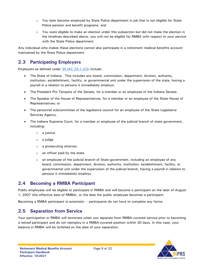- o You later become employed by State Police department in job that is not eligible for State Police pension and benefit programs; and
- $\circ$  You were eligible to make an election under this subsection but did not make the election in the timelines described above, you will not be eligible for RMBA with respect to your service with the State Police department.

Any individual who makes these elections cannot also participate in a retirement medical benefits account maintained by the State Police department.

## <span id="page-8-0"></span>**2.3 Participating Employers**

Employers as defined under [35 IAC 23-1-2\(3\)](https://www.in.gov/inprs/files/RMBARecoupmentAdmin-Rules_INRegister.pdf) include:

- The State of Indiana. This includes any board, commission, department, division, authority, institution, establishment, facility, or governmental unit under the supervision of the state, having a payroll in a relation to persons it immediately employs.
- The President Pro Tempore of the Senate, for a member or an employee of the Indiana Senate;
- The Speaker of the House of Representatives, for a member or an employee of the State House of Representatives; or
- The personnel subcommittee of the legislative council for an employee of the State Legislative Services Agency.
- The Indiana Supreme Court, for a member or employee of the judicial branch of state government, including:
	- o a justice
	- o a judge
	- o a prosecuting attorney
	- o an officer paid by the state
	- $\circ$  an employee of the judicial branch of State government, including an employee of any board, commission, department, division, authority, institution, establishment, facility, or governmental unit under the supervision of the judicial branch, having a payroll in relation to persons it immediately employs.

## <span id="page-8-1"></span>**2.4 Becoming a RMBA Participant**

Public employees will be eligible to participate in RMBA and will become a participant on the later of August 1, 2007 (the effective date of RMBA), or the date the public employee becomes a participant.

Becoming a RMBA participant is automatic – participants do not have to complete any forms.

## <span id="page-8-2"></span>**2.5 Separation from Service**

Your participation in RMBA will terminate when you separate from RMBA-covered service prior to becoming a retired participant and do not reemploy in a RMBA-covered position within 30 days. In this case, your balance in RMBA will be forfeited on the date of your separation.

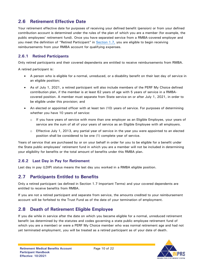## <span id="page-9-0"></span>**2.6 Retirement Effective Date**

Your retirement effective date for purposes of receiving your defined benefit (pension) or from your defined contribution account is determined under the rules of the plan of which you are a member (for example, the public employees' retirement fund). Once you have separated service from a RMBA-covered employer and you meet the definition of "Retired Participant" in [Section 1.7,](#page-5-3) you are eligible to begin receiving reimbursements from your RMBA account for qualifying expenses.

#### <span id="page-9-1"></span>**2.6.1 Retired Participants**

Only retired participants and their covered dependents are entitled to receive reimbursements from RMBA.

A retired participant is:

- A person who is eligible for a normal, unreduced, or a disability benefit on their last day of service in an eligible position;
- As of July 1, 2021, a retired participant will also include members of the PERF My Choice defined contribution plan, if the member is at least 62 years of age with 5 years of service in a RMBAcovered position. A member must separate from State service on or after July 1, 2021, in order to be eligible under this provision; and
- An elected or appointed officer with at least ten (10) years of service. For purposes of determining whether you have 10 years of service:
	- o If you have years of service with more than one employer as an Eligible Employee, your years of service are the sum of all of your years of service as an Eligible Employee with all employers.
	- o Effective July 1, 2013, any partial year of service in the year you were appointed to an elected position shall be considered to be one (1) complete year of service.

Years of service that are purchased by or on your behalf in order for you to be eligible for a benefit under the State public employees' retirement fund in which you are a member will not be included in determining your eligibility for benefits or the total amount of benefits under this RMBA plan.

#### <span id="page-9-2"></span>**2.6.2 Last Day in Pay for Retirement**

Last day in pay (LDIP) status means the last day you worked in a RMBA eligible position.

## <span id="page-9-3"></span>**2.7 Participants Entitled to Benefits**

Only a retired participant (as defined in Section 1.7 Important Terms) and your covered dependents are entitled to receive benefits from RMBA.

If you are not a retired participant and separate from service, the amounts credited to your reimbursement account will be forfeited to the Trust Fund as of the date of your termination of employment.

## <span id="page-9-4"></span>**2.8 Death of Retirement Eligible Employee**

If you die while in service after the date on which you became eligible for a normal, unreduced retirement benefit (as determined by the statutes and codes governing a state public employee retirement fund of which you are a member) or were a PERF My Choice member who was normal retirement age and had not yet terminated employment, you will be treated as a retired participant as of your date of death.

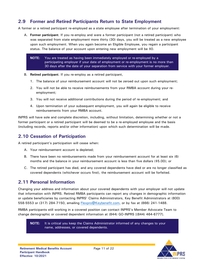## <span id="page-10-0"></span>**2.9 Former and Retired Participants Return to State Employment**

A former or a retired participant re-employed as a state employee after termination of your employment:

- A. **Former participant**. If you re-employ and were a former participant (not a retired participant) who was separated from state employment more thirty (30) days, you will be treated as a new employee upon such employment. When you again become an Eligible Employee, you regain a participant status. The balance of your account upon entering new employment will be \$0.
	- **NOTE:** You are treated as having been immediately employed or re-employed by a participating employer if your date of employment or re-employment is no more than 30 days after the date of your separation from service with your former employer.
- B. **Retired participant**. If you re-employ as a retired participant,
	- 1. The balance of your reimbursement account will not be zeroed out upon such employment;
	- 2. You will not be able to receive reimbursements from your RMBA account during your reemployment;
	- 3. You will not receive additional contributions during the period of re-employment; and
	- 4. Upon termination of your subsequent employment, you will again be eligible to receive reimbursements from your RMBA account.

INPRS will have sole and complete discretion, including, without limitation, determining whether or not a former participant or a retired participant will be deemed to be a re-employed employee and the basis (including records, reports and/or other information) upon which such determination will be made.

## <span id="page-10-1"></span>**2.10 Cessation of Participation**

A retired participant's participation will cease when:

- A. Your reimbursement account is depleted;
- B. There have been no reimbursements made from your reimbursement account for at least six (6) months and the balance in your reimbursement account is less than five dollars (\$5.00); or
- C. The retired participant has died, and any covered dependents have died or are no longer classified as covered dependents (whichever occurs first), the reimbursement account will be forfeited.

## <span id="page-10-2"></span>**2.11 Personal Information**

Changing your address and information about your covered dependents with your employer will not update that information with INPRS. Retired RMBA participants can report any changes in demographic information or update beneficiaries by contacting INPRS' Claims Administrators, Key Benefit Administrators at (800) 558-5553 or (317) 284-7150, emailing [Flexpro@Keybenefit.com,](mailto:Flexpro@Keybenefit.com) or by fax at (866) 241-1488.

RMBA participants still working in a covered position can contact INPRS's Member Advocate Team to change demographic or covered dependent information at (844) GO-INPRS [(844) 464-6777].

**NOTE:** It is critical you keep the Claims Administrator informed of any changes to your name, addresses, or covered dependents.

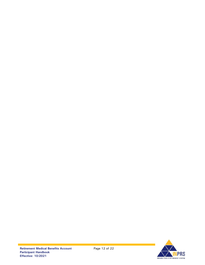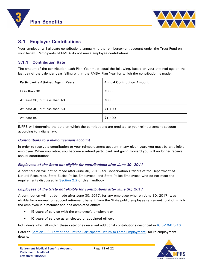<span id="page-12-0"></span>



## <span id="page-12-1"></span>**3.1 Employer Contributions**

Your employer will allocate contributions annually to the reimbursement account under the Trust Fund on your behalf. Participants of RMBA do not make employee contributions.

#### <span id="page-12-2"></span>**3.1.1 Contribution Rate**

The amount of the contribution each Plan Year must equal the following, based on your attained age on the last day of the calendar year falling within the RMBA Plan Year for which the contribution is made:

| Participant's Attained Age in Years | <b>Annual Contribution Amount</b> |
|-------------------------------------|-----------------------------------|
| Less than 30                        | \$500                             |
| At least 30, but less than 40       | \$800                             |
| At least 40, but less than 50       | \$1,100                           |
| At least 50                         | \$1,400                           |

INPRS will determine the date on which the contributions are credited to your reimbursement account according to Indiana law.

#### <span id="page-12-3"></span>*Contributions to a reimbursement account*

In order to receive a contribution to your reimbursement account in any given year, you must be an eligible employee. When you retire, you become a retired participant and going forward you will no longer receive annual contributions.

#### <span id="page-12-4"></span>*Employees of the State not eligible for contributions after June 30, 2011*

A contribution will not be made after June 30, 2011, for Conservation Officers of the Department of Natural Resources, State Excise Police Employees, and State Police Employees who do not meet the requirements discussed in [Section 2.2](#page-7-2) of this handbook.

#### <span id="page-12-5"></span>*Employees of the State not eligible for contributions after June 30, 2017*

A contribution will not be made after June 30, 2017, for any employee who, on June 30, 2017, was eligible for a normal, unreduced retirement benefit from the State public employee retirement fund of which the employee is a member and has completed either:

- 15 years of service with the employee's employer; or
- 10 years of service as an elected or appointed officer.

Individuals who fall within these categories received additional contributions described in [IC 5-10-8.5-16.](http://iga.in.gov/legislative/laws/2021/ic/titles/005/#5-10-8.5-16)

Refer to [Section 2.9, Former and Retired Participants Return to State Employment,](#page-10-0) for re-employment details.

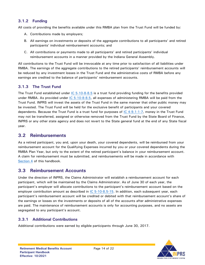#### <span id="page-13-0"></span>**3.1.2 Funding**

All costs of providing the benefits available under this RMBA plan from the Trust Fund will be funded by:

- A. Contributions made by employers;
- B. All earnings on investments or deposits of the aggregate contributions to all participants' and retired participants' individual reimbursement accounts; and
- C. All contributions or payments made to all participants' and retired participants' individual reimbursement accounts in a manner provided by the Indiana General Assembly.

All contributions to the Trust Fund will be irrevocable at any time prior to satisfaction of all liabilities under RMBA. The earnings of the aggregate contributions to the retired participants' reimbursement accounts will be reduced by any investment losses in the Trust Fund and the administrative costs of RMBA before any earnings are credited to the balance of participants' reimbursement accounts.

#### <span id="page-13-1"></span>**3.1.3 The Trust Fund**

The Trust Fund established under [IC 5-10-8-8.5](http://iga.in.gov/legislative/laws/2021/ic/titles/005/#5-10-8-8.5) is a trust fund providing funding for the benefits provided under RMBA. As provided under [IC 5-10-8-8.5,](http://iga.in.gov/legislative/laws/2021/ic/titles/005/#5-10-8-8.5) all expenses of administering RMBA will be paid from the Trust Fund. INPRS will invest the assets of the Trust Fund in the same manner that other public money may be invested. The Trust Fund will be held for the exclusive benefit of participants and your covered dependents. Because the Trust Fund is a trust fund for purposes of [IC 4-9.1-1-7,](http://iga.in.gov/legislative/laws/2021/ic/titles/004/#4-9.1-1-7) money in the Trust Fund may not be transferred, assigned or otherwise removed from the Trust Fund by the State Board of Finance, INPRS or any other state agency and does not revert to the State general fund at the end of any State fiscal year.

## <span id="page-13-2"></span>**3.2 Reimbursements**

As a retired participant, you and, upon your death, your covered dependents, will be reimbursed from your reimbursement account for the Qualifying Expenses incurred by you or your covered dependents during the RMBA Plan Year, but only to the extent of the retired participant's balance in your reimbursement account. A claim for reimbursement must be submitted, and reimbursements will be made in accordance with [Section 4](#page-16-0) of this handbook.

## <span id="page-13-3"></span>**3.3 Reimbursement Accounts**

Under the direction of INPRS, the Claims Administrator will establish a reimbursement account for each participant, which will be maintained by the Claims Administrator. As of June 30 of each year, the participant's employer will allocate contributions to the participant's reimbursement account based on the employer contribution amount as described in [IC 5-10-8.5-15.](http://iga.in.gov/legislative/laws/2021/ic/titles/005/#5-10-8.5-15) In addition, each subsequent year, each participant's reimbursement account will be credited or debited with that reimbursement account's share of the earnings or losses on the investments or deposits of all of the accounts after administrative expenses are paid. The maintenance of reimbursement accounts is only for accounting purposes, and no assets are segregated to any participant's account.

## <span id="page-13-4"></span>**3.3.1 Additional Contributions**

Additional contributions were earned by eligible participants through June 30, 2017.

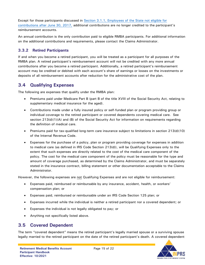Except for those participants discussed in Section 3.1.1, [Employees of the State not eligible for](#page-12-5)  [contributions after June 30, 2017,](#page-12-5) additional contributions are no longer credited to the participant's reimbursement accounts.

An annual contribution is the only contribution paid to eligible RMBA participants. For additional information on the additional contributions and requirements, please contact the Claims Administrator.

#### <span id="page-14-0"></span>**3.3.2 Retired Participants**

If and when you become a retired participant, you will be treated as a participant for all purposes of the RMBA plan. A retired participant's reimbursement account will not be credited with any more annual contributions after you become a retired participant. Additionally, a retired participant's reimbursement account may be credited or debited with each account's share of earnings or losses on the investments or deposits of all reimbursement accounts after reduction for the administrative cost of the plan.

## <span id="page-14-1"></span>**3.4 Qualifying Expenses**

The following are expenses that qualify under the RMBA plan:

- Premiums paid under Medicare Part B (part B of the title XVIII of the Social Security Act, relating to supplementary medical insurance for the aged).
- Contributions made under a fully insured policy or self-funded plan or program providing group or individual coverage to the retired participant or covered dependents covering medical care. See section 213(d)(1)(A) and (B) of the Social Security Act for information on requirements regarding the definition of medical care.
- Premiums paid for tax-qualified long-term care insurance subject to limitations in section 213(d)(10) of the Internal Revenue Code.
- Expenses for the purchase of a policy, plan or program providing coverage for expenses in addition to medical care (as defined in IRS Code Section 213(d)), will be Qualifying Expenses only to the extent that such expenses are directly related to the cost of the medical care component of the policy. The cost for the medical care component of the policy must be reasonable for the type and amount of coverage purchased, as determined by the Claims Administrator, and must be separately stated in the insurance contract, billing statement or other documentation acceptable to the Claims Administrator.

However, the following expenses are not Qualifying Expenses and are not eligible for reimbursement:

- Expenses paid, reimbursed or reimbursable by any insurance, accident, health, or workers' compensation plan; or
- Expenses paid, reimbursed or reimbursable under an IRS Code Section 125 plan; or
- Expenses incurred while the individual is neither a retired participant nor a covered dependent; or
- Expenses the individual is not legally obligated to pay; or
- Anything not specifically listed above.

## <span id="page-14-2"></span>**3.5 Covered Dependent**

The term "covered dependent" means the retired participant's legally married spouse or a surviving spouse legally married to the retired participant on the date of the retired participant's death. A covered dependent

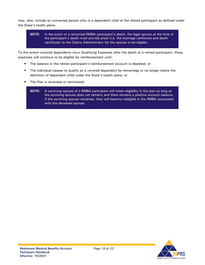may, also, include an unmarried person who is a dependent child of the retired participant as defined under the State's health plans.

**NOTE:** In the event of a remarried RMBA participant's death, the legal spouse at the time of the participant's death must provide proof (i.e. the marriage certificate and death certificate) to the Claims Administrator for the spouse to be eligible.

To the extent covered dependents incur Qualifying Expenses after the death of a retired participant, those expenses will continue to be eligible for reimbursement until:

- **•** The balance in the retired participant's reimbursement account is depleted; or
- The individual ceases to qualify as a covered dependent by remarriage or no longer meets the definition of dependent child under the State's health plans; or
- The Plan is amended or terminated.
	- **NOTE:** A surviving spouse of a RMBA participant will retain eligibility in the plan so long as the surviving spouse does not remarry and there remains a positive account balance. If the surviving spouse remarries, they will become ineligible in the RMBA associated with the deceased spouse.

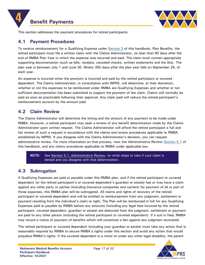<span id="page-16-0"></span>



This section addresses the payment procedures for retired participants.

## <span id="page-16-1"></span>**4.1 Payment Procedures**

To receive reimbursement for a Qualifying Expense under [Section 3](#page-12-0) of this handbook, Plan Benefits, the retired participant must file a written claim with the Claims Administrator, no later than 90 days after the end of RMBA Plan Year in which the expense was incurred and paid. The claim must contain appropriate supporting documentation (such as bills, receipts, canceled checks, written statements and the like). The plan year is between July 1 and June 30. Ninety (90) days after the plan year falls on September 28, of each year.

An expense is incurred when the premium is incurred and paid by the retired participant or covered dependent. The Claims Administrator, in consultation with INPRS, will determine, at their discretion, whether or not the expenses to be reimbursed under RMBA are Qualifying Expenses and whether or not sufficient documentation has been submitted to support the payment of the claim. Claims will normally be paid as soon as practicable following their approval. Any claim paid will reduce the retired participant's reimbursement account by the amount paid.

## <span id="page-16-2"></span>**4.2 Claim Review**

The Claims Administrator will determine the timing and the amount of any payment to be made under RMBA. However, a retired participant may seek a review of any benefit determination made by the Claims Administrator upon written request. The Claims Administrator will afford the retired participant a full and fair review of such a request in accordance with the claims and review procedures applicable to RMBA established by INPRS. If you disagree with the Claims Administrator's decision, you can request administrative review. For more information on that process, view the Administrative Review [Section](#page-18-1) 5.1 of this handbook, and any claims procedures applicable to RMBA under applicable law.

**NOTE:** See [Section 5.1, Administrative Review,](#page-18-1) on what steps to take if your claim is denied and you disagree with that determination.

## <span id="page-16-3"></span>**4.3 Subrogation**

If Qualifying Expenses are paid or payable under this RMBA plan, and if the retired participant or covered dependent (or the retired participant's or covered dependent's guardian or estate) has or may have a claim against any other party or parties (including insurance companies and carriers) for payment of all or part of those expenses, this RMBA plan will be subrogated. All claims and rights of recovery of the retired participant or covered dependent and will be entitled to reimbursement from any judgment, settlement or payment resulting from the individual's claim or right. The Plan will be reimbursed in full for any Qualifying Expenses paid or payable by RMBA before any amounts (including any legal fees incurred by the retired participant, covered dependent, guardian or estate) are deducted from the judgment, settlement or payment are paid to any other person (including the retired participant or covered dependent). If a suit is filed, RMBA may record a notice of payment of benefits which will constitute a lien against any judgment recovered.

The retired participant or covered dependent (including your guardian or estate) must take any action that is reasonably required by RMBA to secure RMBA's rights under this section and avoid any action that would prejudice RMBA's rights. If the covered dependent is a minor or under any other legal disability, the parent

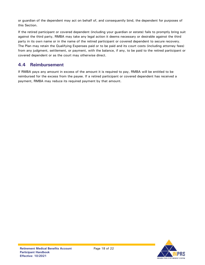or guardian of the dependent may act on behalf of, and consequently bind, the dependent for purposes of this Section.

If the retired participant or covered dependent (including your guardian or estate) fails to promptly bring suit against the third party, RMBA may take any legal action it deems necessary or desirable against the third party in its own name or in the name of the retired participant or covered dependent to secure recovery. The Plan may retain the Qualifying Expenses paid or to be paid and its court costs (including attorney fees) from any judgment, settlement, or payment, with the balance, if any, to be paid to the retired participant or covered dependent or as the court may otherwise direct.

## <span id="page-17-0"></span>**4.4 Reimbursement**

If RMBA pays any amount in excess of the amount it is required to pay, RMBA will be entitled to be reimbursed for the excess from the payee. If a retired participant or covered dependent has received a payment, RMBA may reduce its required payment by that amount.

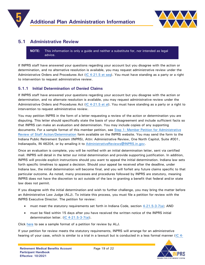<span id="page-18-0"></span>



## <span id="page-18-1"></span>**5.1 Administrative Review**

**NOTE:** This information is only a guide and neither a substitute for, nor intended as legal advice.

If INPRS staff have answered your questions regarding your account but you disagree with the action or determination, and no alternative resolution is available, you may request administrative review under the Administrative Orders and Procedures Act [\(IC 4-21.5 et seq\)](http://iga.in.gov/legislative/laws/2021/ic/titles/004#4-21.5). You must have standing as a party or a right to intervention to request administrative review.

#### <span id="page-18-2"></span>**5.1.1 Initial Determination of Denied Claims**

If INPRS staff have answered your questions regarding your account but you disagree with the action or determination, and no alternate resolution is available, you may request administrative review under the Administrative Orders and Procedures Act [\(IC 4-21.5 et al\)](http://iga.in.gov/legislative/laws/2021/ic/titles/004#4-21.5). You must have standing as a party or a right to intervention to request administrative review.

You may petition INPRS in the form of a letter requesting a review of the action or determination you are disputing. This letter should specifically state the basis of your disagreement and include sufficient facts so that INPRS can make an evaluation and determination. You may include copies of any supporting documents. For a sample format of this member petition, see [Step 1: Member Petition for Administrative](https://www.in.gov/inprs/files/AdminReviewMbrPetition.pdf)  [Review of Staff Action/Determination](https://www.in.gov/inprs/files/AdminReviewMbrPetition.pdf) form available on the INPRS website. You may send the form to the Indiana Public Retirement System (INPRS), Attn: Administrative Review, One North Capitol, Suite #001, Indianapolis, IN 46204, or by emailing it to [AdministrativeReviews@INPRS.in.gov.](mailto:AdministrativeReviews@INPRS.in.gov)

Once an evaluation is complete, you will be notified with an initial determination letter, sent via certified mail. INPRS will detail in the letter our initial determination and provide supporting justification. In addition, INPRS will provide explicit instructions should you want to appeal the initial determination. Indiana law sets forth specific timelines to appeal a decision. Should your appeal be received after the deadline, under Indiana law, the initial determination will become final, and you will forfeit any future claims specific to that particular outcome. As noted, many processes and procedures followed by INPRS are statutory, meaning INPRS does not have the discretion to act outside of the law in granting a benefit that federal and/or state law does not permit.

If you disagree with the initial determination and wish to further challenge, you may bring the matter before an Administrative Law Judge (ALJ). To initiate this process, you must file a petition for review with the INPRS Executive Director. The petition for review:

- must meet the statutory requirements set forth in Indiana Code, section [4-21.5-3-7\(a\);](http://www.in.gov/legislative/ic/2010/title4/ar21.5/ch3.html) AND
- must be filed within 15 days after you have received the written notice of the INPRS initial determination letter. [\(IC 4-21.5-3-7\(a\)\)](http://www.in.gov/legislative/ic/2010/title4/ar21.5/ch3.html).

Click [here](https://www.in.gov/inprs/files/AdminReviewPetitionforReviewbyALJ.pdf) to see a sample format of a petition for review by ALJ.

If your petition for review meets the statutory requirements, INPRS will arrange for an administrative hearing of your case, which is similar to a trial in a lawsuit but is conducted in a less formal manner [\(IC 4-](http://www.in.gov/legislative/ic/2010/title4/ar21.5/ch3.html)

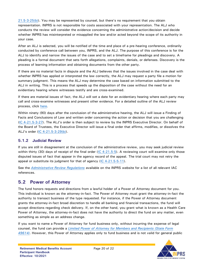[21.5-3-25\(b\)\)](http://www.in.gov/legislative/ic/2010/title4/ar21.5/ch3.html). You may be represented by counsel, but there's no requirement that you obtain representation. INPRS is not responsible for costs associated with your representation. The ALJ who conducts the review will consider the evidence concerning the administrative action/decision and decide whether INPRS has misinterpreted or misapplied the law and/or acted beyond the scope of its authority in your case.

After an ALJ is selected, you will be notified of the time and place of a pre-hearing conference, ordinarily conducted by conference call between you, INPRS, and the ALJ. The purpose of this conference is for the ALJ to identify and narrow the issues of the case and to set a timeframe for pleadings and discovery. A pleading is a formal document that sets forth allegations, complaints, denials, or defenses. Discovery is the process of learning information and obtaining documents from the other party.

If there are no material facts in dispute and the ALJ believes that the issues involved in the case deal with whether INPRS has applied or interpreted the law correctly, the ALJ may request a party file a motion for summary judgment. This means the ALJ may determine the case based on information submitted to the ALJ in writing. This is a process that speeds up the disposition of the case without the need for an evidentiary hearing where witnesses testify and are cross-examined.

If there are material issues of fact, the ALJ will set a date for an evidentiary hearing where each party may call and cross-examine witnesses and present other evidence. For a detailed outline of the ALJ review process, click [here.](https://www.in.gov/inprs/files/GeneralOutlineforAdminReview.pdf)

Within ninety (90) days after the conclusion of the administrative hearing, the ALJ will issue a Finding of Facts and Conclusions of Law and written order concerning the action or decision that you are challenging [\(IC 4-21.5-3-27](http://www.in.gov/legislative/ic/2010/title4/ar21.5/ch3.html)). The ALJ's order is then subject to review by the INPRS Executive Director. On behalf of the Board of Trustees, the Executive Director will issue a final order that affirms, modifies, or dissolves the ALJ's order ([IC 4-21.5-3-29\(b\)\)](file://///state.in.us/file1/inprs/shared/perf-trfshared/Communication/Member%20Handbooks/2020%20&%202021%20Final%20Markup%20&%20Final/2021%20Handbooks/IC%204-21.5-3-29(b)).

#### <span id="page-19-0"></span>**5.1.2 Judicial Review**

If you are still in disagreement at the conclusion of the administrative review, you may seek judicial review within thirty (30) days of receipt of the final order [\(IC 4-21.5-5\)](http://iga.in.gov/legislative/laws/2021/ic/titles/004/#4-21.5-5). A reviewing court will examine only those disputed issues of fact that appear in the agency record of the appeal. The trial court may not retry the appeal or substitute its judgment for that of agency  $(IC 4-21.5-5-11).$  $(IC 4-21.5-5-11).$ 

See the *[Administrative Review Regulations](https://www.in.gov/inprs/files/AdminReviewRegulations.pdf)* available on the INPRS website for a list of all relevant IAC references.

## <span id="page-19-1"></span>**5.2 Power of Attorney**

The fund honors requests and directions from a lawful holder of a Power of Attorney document for you. This individual is known as the attorney-in-fact. The Power of Attorney must grant the attorney-in-fact the authority to transact business of the type requested. For instance, if the Power of Attorney document grants the attorney-in-fact broad discretion to handle all banking and financial transactions, the fund will accept directions regarding check delivery. If, on the other hand, you grant what is known as a Health Care Power of Attorney, the attorney-in-fact does not have the authority to direct the fund on any matter, even something as simple as an address change.

If you want to name a Power of Attorney for fund business only, without incurring the expense of legal counsel, the fund can provide a *[Limited Power of Attorney for Members and Recipients \(State Form](https://forms.in.gov/Download.aspx?id=5620)  [49614\)](https://forms.in.gov/Download.aspx?id=5620)*. However, this Power of Attorney applies only to fund business and is not valid for general public

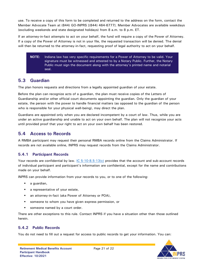use. To receive a copy of this form to be completed and returned to the address on the form, contact the Member Advocate Team at (844) GO-INPRS [(844) 464-6777]. Member Advocates are available weekdays (excluding weekends and state designated holidays) from 8 a.m. to 8 p.m. ET.

If an attorney-in-fact attempts to act on your behalf, the fund will require a copy of the Power of Attorney. If a copy of the Power of Attorney is not in your file, the requested transaction will be denied. The denial will then be returned to the attorney-in-fact, requesting proof of legal authority to act on your behalf.

**NOTE:** Indiana law has very specific requirements for a Power of Attorney to be valid. Your signature must be witnessed and attested to by a Notary Public. Further, the Notary Public must sign the document along with the attorney's printed name and notarial seal.

## <span id="page-20-0"></span>**5.3 Guardian**

The plan honors requests and directions from a legally appointed guardian of your estate.

Before the plan can recognize acts of a guardian, the plan must receive copies of the Letters of Guardianship and/or other official court documents appointing the guardian. Only the guardian of your estate, the person with the power to handle financial matters (as opposed to the guardian of the person who is responsible for your physical well-being), may direct the plan.

Guardians are appointed only when you are declared incompetent by a court of law. Thus, while you are under an active guardianship and unable to act on your own behalf. The plan will not recognize your acts until provided proof that your right to act on your own behalf has been restored.

## <span id="page-20-1"></span>**5.4 Access to Records**

A RMBA participant may request their personal RMBA records online from the Claims Administrator. If records are not available online, INPRS may request records from the Claims Administrator.

#### <span id="page-20-2"></span>**5.4.1 Participant Records**

Your records are confidential by law. [IC 5-10-8.5-13\(c\)](http://iga.in.gov/legislative/laws/2021/ic/titles/005/#5-10-8.5-13) provides that the account and sub-account records of individual participant and participant's information are confidential, except for the name and contributions made on your behalf.

INPRS can provide information from your records to you, or to one of the following:

- a guardian,
- a representative of your estate,
- an attorney-in-fact (aka Power of Attorney or POA),
- someone to whom you have given express permission, or
- someone named by a court order.

There are other exceptions to this rule. Contact INPRS if you have a situation other than those outlined herein.

#### <span id="page-20-3"></span>**5.4.2 Public Records**

You do not need to fill out a request for access to public records to get your information. You can: